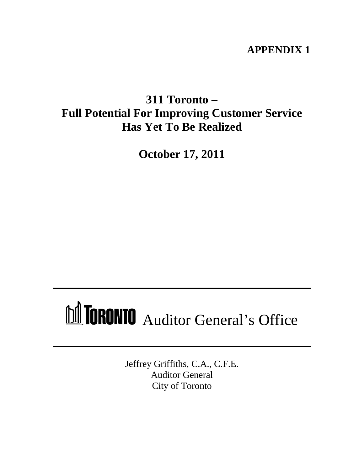# **APPENDIX 1**

# **311 Toronto – Full Potential For Improving Customer Service Has Yet To Be Realized**

**October 17, 2011**

# MICRONIO Auditor General's Office

Jeffrey Griffiths, C.A., C.F.E. Auditor General City of Toronto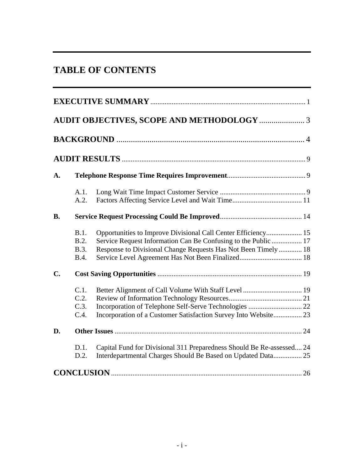|                | <b>TABLE OF CONTENTS</b>                                                                                                                                                                                                               |
|----------------|----------------------------------------------------------------------------------------------------------------------------------------------------------------------------------------------------------------------------------------|
|                | <b>EXECUTIVE SUMMARY.</b>                                                                                                                                                                                                              |
|                |                                                                                                                                                                                                                                        |
|                |                                                                                                                                                                                                                                        |
|                |                                                                                                                                                                                                                                        |
| А.             |                                                                                                                                                                                                                                        |
|                | A.1.<br>A.2.                                                                                                                                                                                                                           |
| <b>B.</b>      |                                                                                                                                                                                                                                        |
|                | Opportunities to Improve Divisional Call Center Efficiency 15<br>B.1<br>Service Request Information Can Be Confusing to the Public  17<br>Response to Divisional Change Requests Has Not Been Timely  18<br><b>B.3.</b><br><b>B.4.</b> |
| $\mathbf{C}$ . |                                                                                                                                                                                                                                        |
|                | U.Z.<br>Incorporation of Telephone Self-Serve Technologies  22<br>C.3<br>Incorporation of a Customer Satisfaction Survey Into Website 23<br>C.4.                                                                                       |
| D.             | 24<br><b>Other Issues </b>                                                                                                                                                                                                             |
|                | D.1. Capital Fund for Divisional 311 Preparedness Should Be Re-assessed 24<br>Interdepartmental Charges Should Be Based on Updated Data 25<br>D.2.                                                                                     |
|                | <b>CONCLUSION</b><br>.26                                                                                                                                                                                                               |
|                |                                                                                                                                                                                                                                        |
|                |                                                                                                                                                                                                                                        |
|                |                                                                                                                                                                                                                                        |
|                | $-1-$                                                                                                                                                                                                                                  |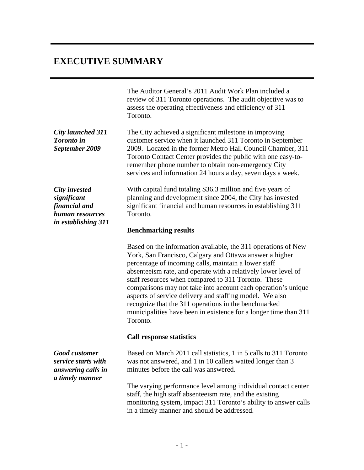The Auditor General's 2011 Audit Work Plan included a review of 311 Toronto operations. The audit objective was to assess the operating effectiveness and efficiency of 311 Toronto.

*City launched 311*  The City achieved a significant milestone in improving *Toronto in*  customer service when it launched 311 Toronto in September *September 2009* 2009. Located in the former Metro Hall Council Chamber, 311 Toronto Contact Center provides the public with one easy-toremember phone number to obtain non-emergency City services and information 24 hours a day, seven days a week.

*human resources in establishing 311*

*City invested*  With capital fund totaling \$36.3 million and five years of *significant*  planning and development since 2004, the City has invested *financial and*  significant financial and human resources in establishing 311 Toronto.

#### **Benchmarking results**

**EXECUTIVE SUMMARY**<br>
The Andium General 3 2011 Audit Work Plan included a<br>
review of 311 tensto experiments. The undiversions of the unit objective<br>
dense and the component of the system of the system of the system of<br>
To Based on the information available, the 311 operations of New York, San Francisco, Calgary and Ottawa answer a higher percentage of incoming calls, maintain a lower staff absenteeism rate, and operate with a relatively lower level of staff resources when compared to 311 Toronto. These comparisons may not take into account each operation's unique aspects of service delivery and staffing model. We also recognize that the 311 operations in the benchmarked municipalities have been in existence for a longer time than 311 Toronto.

#### **Call response statistics**

*Good customer*  Based on March 2011 call statistics, 1 in 5 calls to 311 Toronto *service starts with*  was not answered, and 1 in 10 callers waited longer than 3 *answering calls in*  minutes before the call was answered.

The varying performance level among individual contact center staff, the high staff absenteeism rate, and the existing monitoring system, impact 311 Toronto's ability to answer calls in a timely manner and should be addressed.

*a timely manner*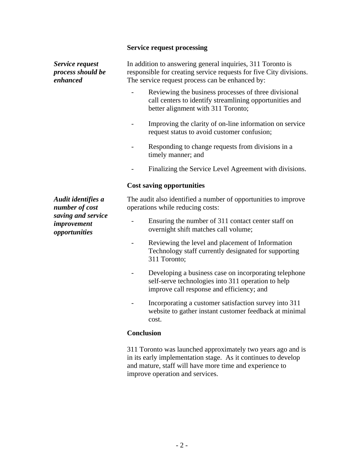# **Service request processing**

| Service request<br>process should be<br>enhanced   | In addition to answering general inquiries, 311 Toronto is<br>responsible for creating service requests for five City divisions.<br>The service request process can be enhanced by:     |  |  |
|----------------------------------------------------|-----------------------------------------------------------------------------------------------------------------------------------------------------------------------------------------|--|--|
|                                                    | Reviewing the business processes of three divisional<br>call centers to identify streamlining opportunities and<br>better alignment with 311 Toronto;                                   |  |  |
|                                                    | Improving the clarity of on-line information on service<br>request status to avoid customer confusion;                                                                                  |  |  |
|                                                    | Responding to change requests from divisions in a<br>timely manner; and                                                                                                                 |  |  |
|                                                    | Finalizing the Service Level Agreement with divisions.                                                                                                                                  |  |  |
|                                                    | <b>Cost saving opportunities</b>                                                                                                                                                        |  |  |
| Audit identifies a<br>number of cost               | The audit also identified a number of opportunities to improve<br>operations while reducing costs:                                                                                      |  |  |
| saving and service<br>improvement<br>opportunities | Ensuring the number of 311 contact center staff on<br>$\sim$<br>overnight shift matches call volume;                                                                                    |  |  |
|                                                    | Reviewing the level and placement of Information<br>Technology staff currently designated for supporting<br>311 Toronto;                                                                |  |  |
|                                                    | Developing a business case on incorporating telephone<br>self-serve technologies into 311 operation to help<br>improve call response and efficiency; and                                |  |  |
|                                                    | Incorporating a customer satisfaction survey into 311<br>website to gather instant customer feedback at minimal<br>cost.                                                                |  |  |
|                                                    | <b>Conclusion</b>                                                                                                                                                                       |  |  |
|                                                    | 311 Toronto was launched approximately two years ago and is<br>in its early implementation stage. As it continues to develop<br>and mature, staff will have more time and experience to |  |  |

improve operation and services.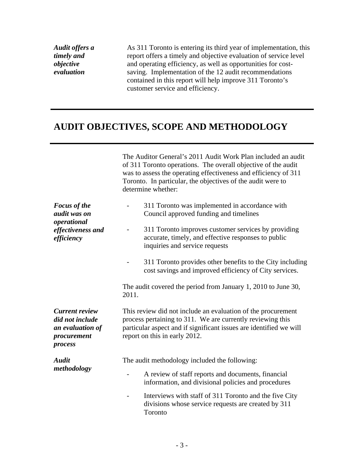# **AUDIT OBJECTIVES, SCOPE AND METHODOLOGY**

| Audit offers a<br>timely and<br>objective<br>evaluation                                | As 311 Toronto is entering its third year of implementation, this<br>report offers a timely and objective evaluation of service level<br>and operating efficiency, as well as opportunities for cost-<br>saving. Implementation of the 12 audit recommendations<br>contained in this report will help improve 311 Toronto's<br>customer service and efficiency.                                                                           |
|----------------------------------------------------------------------------------------|-------------------------------------------------------------------------------------------------------------------------------------------------------------------------------------------------------------------------------------------------------------------------------------------------------------------------------------------------------------------------------------------------------------------------------------------|
|                                                                                        | <b>AUDIT OBJECTIVES, SCOPE AND METHODOLOGY</b>                                                                                                                                                                                                                                                                                                                                                                                            |
|                                                                                        | The Auditor General's 2011 Audit Work Plan included an audit<br>of 311 Toronto operations. The overall objective of the audit<br>was to assess the operating effectiveness and efficiency of 311<br>Toronto. In particular, the objectives of the audit were to<br>determine whether:                                                                                                                                                     |
| <b>Focus of the</b><br>audit was on<br>operational<br>effectiveness and<br>efficiency  | 311 Toronto was implemented in accordance with<br>Council approved funding and timelines<br>311 Toronto improves customer services by providing<br>accurate, timely, and effective responses to public<br>inquiries and service requests<br>311 Toronto provides other benefits to the City including<br>cost savings and improved efficiency of City services.<br>The audit covered the period from January 1, 2010 to June 30,<br>2011. |
| <b>Current review</b><br>did not include<br>an evaluation of<br>procurement<br>process | This review did not include an evaluation of the procurement<br>process pertaining to 311. We are currently reviewing this<br>particular aspect and if significant issues are identified we will<br>report on this in early 2012.                                                                                                                                                                                                         |
| <b>Audit</b><br>methodology                                                            | The audit methodology included the following:<br>A review of staff reports and documents, financial<br>$\sim$<br>information, and divisional policies and procedures<br>Interviews with staff of 311 Toronto and the five City<br>$\overline{a}$<br>divisions whose service requests are created by 311<br>Toronto                                                                                                                        |
|                                                                                        | $-3-$                                                                                                                                                                                                                                                                                                                                                                                                                                     |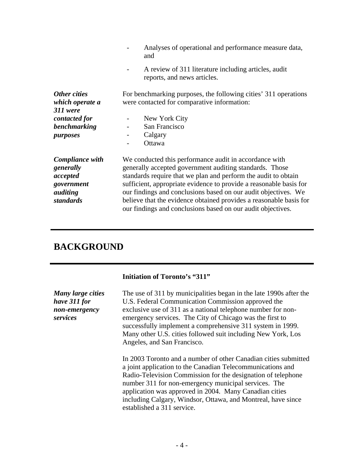|                                               | Analyses of operational and performance measure data,<br>and                                                                      |  |  |
|-----------------------------------------------|-----------------------------------------------------------------------------------------------------------------------------------|--|--|
|                                               | A review of 311 literature including articles, audit<br>reports, and news articles.                                               |  |  |
| Other cities<br>which operate a<br>$311$ were | For benchmarking purposes, the following cities' 311 operations<br>were contacted for comparative information:                    |  |  |
| contacted for                                 | New York City                                                                                                                     |  |  |
| benchmarking<br>purposes                      | San Francisco<br>Calgary<br>Ottawa                                                                                                |  |  |
| Compliance with                               | We conducted this performance audit in accordance with                                                                            |  |  |
| generally                                     | generally accepted government auditing standards. Those                                                                           |  |  |
| accepted                                      | standards require that we plan and perform the audit to obtain                                                                    |  |  |
| government                                    | sufficient, appropriate evidence to provide a reasonable basis for                                                                |  |  |
| auditing                                      | our findings and conclusions based on our audit objectives. We                                                                    |  |  |
| standards                                     | believe that the evidence obtained provides a reasonable basis for<br>our findings and conclusions based on our audit objectives. |  |  |

# **BACKGROUND**

# **Initiation of Toronto's "311"**

| Many large cities<br>have 311 for<br>non-emergency<br>services | The use of 311 by municipalities began in the late 1990s after the<br>U.S. Federal Communication Commission approved the<br>exclusive use of 311 as a national telephone number for non-<br>emergency services. The City of Chicago was the first to<br>successfully implement a comprehensive 311 system in 1999.<br>Many other U.S. cities followed suit including New York, Los<br>Angeles, and San Francisco. |  |  |
|----------------------------------------------------------------|-------------------------------------------------------------------------------------------------------------------------------------------------------------------------------------------------------------------------------------------------------------------------------------------------------------------------------------------------------------------------------------------------------------------|--|--|
|                                                                | In 2003 Toronto and a number of other Canadian cities submitted<br>a joint application to the Canadian Telecommunications and<br>Radio-Television Commission for the designation of telephone<br>number 311 for non-emergency municipal services. The<br>application was approved in 2004. Many Canadian cities<br>including Calgary, Windsor, Ottawa, and Montreal, have since<br>established a 311 service.     |  |  |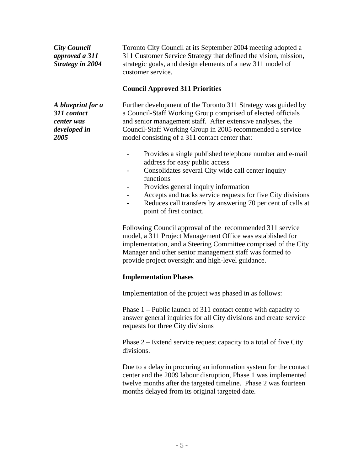| <b>City Council</b><br>approved a 311<br><b>Strategy in 2004</b>       | Toronto City Council at its September 2004 meeting adopted a<br>311 Customer Service Strategy that defined the vision, mission,<br>strategic goals, and design elements of a new 311 model of<br>customer service.                                                                                                                                            |
|------------------------------------------------------------------------|---------------------------------------------------------------------------------------------------------------------------------------------------------------------------------------------------------------------------------------------------------------------------------------------------------------------------------------------------------------|
|                                                                        | <b>Council Approved 311 Priorities</b>                                                                                                                                                                                                                                                                                                                        |
| A blueprint for a<br>311 contact<br>center was<br>developed in<br>2005 | Further development of the Toronto 311 Strategy was guided by<br>a Council-Staff Working Group comprised of elected officials<br>and senior management staff. After extensive analyses, the<br>Council-Staff Working Group in 2005 recommended a service<br>model consisting of a 311 contact center that:                                                    |
|                                                                        | Provides a single published telephone number and e-mail<br>address for easy public access<br>Consolidates several City wide call center inquiry<br>functions<br>Provides general inquiry information<br>Accepts and tracks service requests for five City divisions<br>Reduces call transfers by answering 70 per cent of calls at<br>point of first contact. |
|                                                                        | Following Council approval of the recommended 311 service<br>model, a 311 Project Management Office was established for<br>implementation, and a Steering Committee comprised of the City<br>Manager and other senior management staff was formed to<br>provide project oversight and high-level guidance.                                                    |
|                                                                        | <b>Implementation Phases</b>                                                                                                                                                                                                                                                                                                                                  |
|                                                                        | Implementation of the project was phased in as follows:                                                                                                                                                                                                                                                                                                       |
|                                                                        | Phase $1$ – Public launch of 311 contact centre with capacity to<br>answer general inquiries for all City divisions and create service<br>requests for three City divisions                                                                                                                                                                                   |
|                                                                        | Phase 2 – Extend service request capacity to a total of five City<br>divisions.                                                                                                                                                                                                                                                                               |
|                                                                        | Due to a delay in procuring an information system for the contact<br>center and the 2009 labour disruption, Phase 1 was implemented<br>twelve months after the targeted timeline. Phase 2 was fourteen<br>months delayed from its original targeted date.                                                                                                     |
|                                                                        |                                                                                                                                                                                                                                                                                                                                                               |
|                                                                        | $-5-$                                                                                                                                                                                                                                                                                                                                                         |

- Provides a single published telephone number and e-mail address for easy public access
- Consolidates several City wide call center inquiry functions **that is a structure of the structure**  $\mathbf{r}$  is a structure of the structure of the structure of the structure of the structure of the structure of the structure of the structure of the structure of the struct
- Provides general inquiry information
- Accepts and tracks service requests for five City divisions
- Reduces call transfers by answering 70 per cent of calls at point of first contact.

#### **Implementation Phases**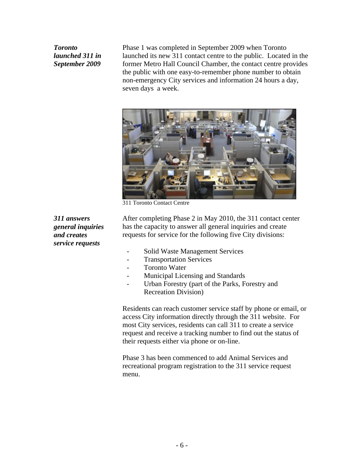*Toronto*  Phase 1 was completed in September 2009 when Toronto *launched 311 in* a launched its new 311 contact centre to the public. Located in the *September 2009* former Metro Hall Council Chamber, the contact centre provides the public with one easy-to-remember phone number to obtain non-emergency City services and information 24 hours a day, seven days a week.



311 Toronto Contact Centre

*service requests*

*311 answers*  After completing Phase 2 in May 2010, the 311 contact center *general inquiries* has the capacity to answer all general inquiries and create *and creates*  requests for service for the following five City divisions:

- Solid Waste Management Services
- Transportation Services
- Toronto Water
- Municipal Licensing and Standards
- Urban Forestry (part of the Parks, Forestry and Recreation Division)

Residents can reach customer service staff by phone or email, or access City information directly through the 311 website. For most City services, residents can call 311 to create a service request and receive a tracking number to find out the status of their requests either via phone or on-line.

Phase 3 has been commenced to add Animal Services and recreational program registration to the 311 service request menu.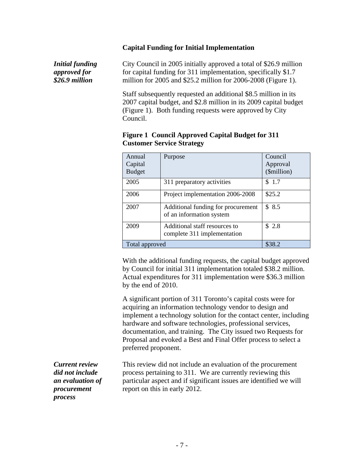#### **Capital Funding for Initial Implementation**

*Initial funding*  City Council in 2005 initially approved a total of \$26.9 million *approved for*  for capital funding for 311 implementation, specifically \$1.7 *\$26.9 million* million for 2005 and \$25.2 million for 2006-2008 (Figure 1).

Staff subsequently requested an additional \$8.5 million in its 2007 capital budget, and \$2.8 million in its 2009 capital budget (Figure 1). Both funding requests were approved by City Council.

| Annual<br>Capital<br><b>Budget</b> | Purpose                                                                      | Council<br>Approval<br>(\$million) |
|------------------------------------|------------------------------------------------------------------------------|------------------------------------|
| 2005                               | 311 preparatory activities                                                   | $\frac{1}{2}$ \$ 1.7               |
| 2006                               | Project implementation 2006-2008 \ \ \$25.2                                  |                                    |
| 2007                               | Additional funding for procurement $\sqrt{38.5}$<br>of an information system |                                    |
| 2009                               | Additional staff resources to<br>complete 311 implementation                 | \$2.8                              |
| Total approved                     |                                                                              | \$38.2                             |

### **Figure 1 Council Approved Capital Budget for 311 Customer Service Strategy**

With the additional funding requests, the capital budget approved by Council for initial 311 implementation totaled \$38.2 million. Actual expenditures for 311 implementation were \$36.3 million by the end of 2010.

A significant portion of 311 Toronto's capital costs were for acquiring an information technology vendor to design and implement a technology solution for the contact center, including hardware and software technologies, professional services, documentation, and training. The City issued two Requests for Proposal and evoked a Best and Final Offer process to select a preferred proponent.

*process*

*Current review*  This review did not include an evaluation of the procurement *did not include*  process pertaining to 311. We are currently reviewing this *an evaluation of*  particular aspect and if significant issues are identified we will *procurement*  report on this in early 2012.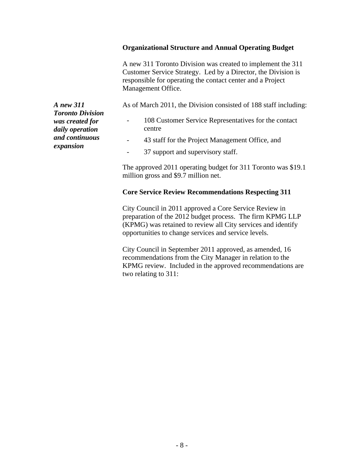A new 311 Toronto Division was created to implement the 311 Customer Service Strategy. Led by a Director, the Division is responsible for operating the contact center and a Project Management Office.

*A new 311*  As of March 2011, the Division consisted of 188 staff including:

was created for **-** 108 Customer Service Representatives for the contact centre<br>
43 staff for the Project Management Office, and<br>
37 support and supervisory staff.

- *and continuous* 
	-

The approved 2011 operating budget for 311 Toronto was \$19.1 million gross and \$9.7 million net.

### **Core Service Review Recommendations Respecting 311**

**Organizational Structure and Annual Operating Budget**<br>
A new 311 Tomoto Division was created to implement the 311<br>
Customer Service Strategy. Led by a Director, the Division is<br>
Management Office.<br>
As of March 2011, the D City Council in 2011 approved a Core Service Review in preparation of the 2012 budget process. The firm KPMG LLP (KPMG) was retained to review all City services and identify opportunities to change services and service levels.

City Council in September 2011 approved, as amended, 16 recommendations from the City Manager in relation to the KPMG review. Included in the approved recommendations are two relating to 311:

*Toronto Division daily operation expansion*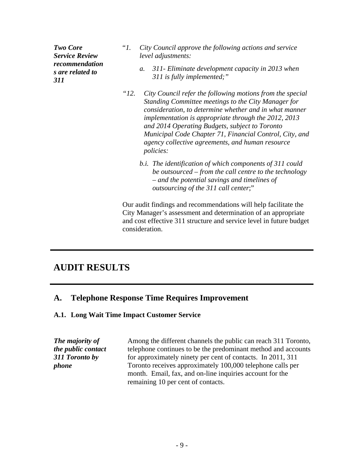- **Two Core** "1. City Council approve the following actions and service *Service Review*  **311 The Connect Act of The Council approve the following actions and service<br>
<b>1. Service Review** level adjustments:<br> **1. 311 Eliminate development capacity in 2013 when<br>
<b>311 311 is fully implemented;**" *level adjustments:*
- *recommendation s are related to a. 311- Eliminate development capacity in 2013 when 311 is fully implemented;"*

*"12. City Council refer the following motions from the special Standing Committee meetings to the City Manager for consideration, to determine whether and in what manner implementation is appropriate through the 2012, 2013 and 2014 Operating Budgets, subject to Toronto Municipal Code Chapter 71, Financial Control, City, and agency collective agreements, and human resource policies:*

*b.i. The identification of which components of 311 could be outsourced – from the call centre to the technology – and the potential savings and timelines of outsourcing of the 311 call center*;"

Our audit findings and recommendations will help facilitate the City Manager's assessment and determination of an appropriate and cost effective 311 structure and service level in future budget consideration.

# **AUDIT RESULTS**

### **A. Telephone Response Time Requires Improvement**

#### **A.1. Long Wait Time Impact Customer Service**

*The majority of*  Among the different channels the public can reach 311 Toronto, *the public contact*  telephone continues to be the predominant method and accounts *311 Toronto by*  for approximately ninety per cent of contacts. In 2011, 311 *phone* Toronto receives approximately 100,000 telephone calls per month. Email, fax, and on-line inquiries account for the remaining 10 per cent of contacts.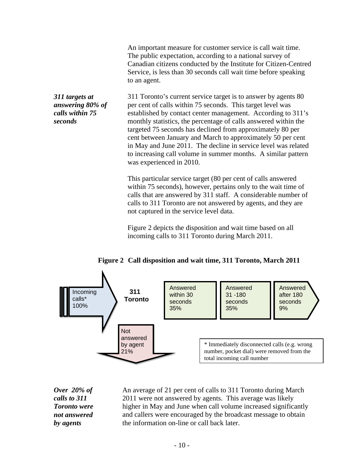The public expectation, according to a national survey of Canadian citizens conducted by the Institute for Citizen-Centred Service, is less than 30 seconds call wait time before speaking to an agent.

*311 targets at*  311 Toronto's current service target is to answer by agents 80 *answering 80% of*  per cent of calls within 75 seconds. This target level was *calls within 75*  established by contact center management. According to 311's *seconds* monthly statistics, the percentage of calls answered within the targeted 75 seconds has declined from approximately 80 per cent between January and March to approximately 50 per cent in May and June 2011. The decline in service level was related to increasing call volume in summer months. A similar pattern was experienced in 2010.

> This particular service target (80 per cent of calls answered within 75 seconds), however, pertains only to the wait time of calls that are answered by 311 staff. A considerable number of calls to 311 Toronto are not answered by agents, and they are not captured in the service level data.<br>Figure 2 depicts the disposition and wait time based on all

incoming calls to 311 Toronto during March 2011.





*Over 20% of*  An average of 21 per cent of calls to 311 Toronto during March *calls to 311*  2011 were not answered by agents. This average was likely *Toronto were*  higher in May and June when call volume increased significantly **not answered** and callers were encouraged by the broadcast message to obtain *by agents* the information on-line or call back later.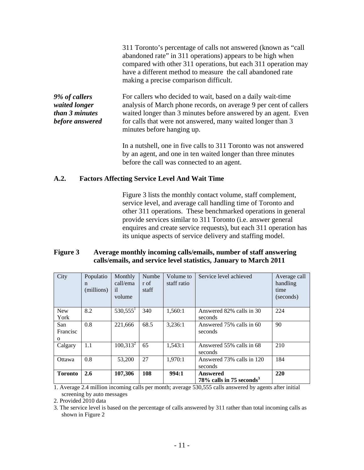|                                                                            | 311 Toronto's percentage of calls not answered (known as "call"<br>abandoned rate" in 311 operations) appears to be high when<br>compared with other 311 operations, but each 311 operation may<br>have a different method to measure the call abandoned rate<br>making a precise comparison difficult. |
|----------------------------------------------------------------------------|---------------------------------------------------------------------------------------------------------------------------------------------------------------------------------------------------------------------------------------------------------------------------------------------------------|
| 9% of callers<br>waited longer<br><i>than 3 minutes</i><br>before answered | For callers who decided to wait, based on a daily wait-time<br>analysis of March phone records, on average 9 per cent of callers<br>waited longer than 3 minutes before answered by an agent. Even<br>for calls that were not answered, many waited longer than 3                                       |
|                                                                            | minutes before hanging up.                                                                                                                                                                                                                                                                              |

In a nutshell, one in five calls to 311 Toronto was not answered by an agent, and one in ten waited longer than three minutes before the call was connected to an agent.

#### **A.2. Factors Affecting Service Level And Wait Time**

Figure 3 lists the monthly contact volume, staff complement, service level, and average call handling time of Toronto and other 311 operations. These benchmarked operations in general provide services similar to 311 Toronto (i.e. answer general enquires and create service requests), but each 311 operation has its unique aspects of service delivery and staffing model.

#### **Figure 3 Average monthly incoming calls/emails, number of staff answering calls/emails, and service level statistics, January to March 2011**

| City            | $(millions)$ il | call/ema $\vert$ r of<br>volume | staff | staff ratio | Populatio   Monthly   Numbe   Volume to   Service level achieved | Average call<br>handling<br>time<br>(seconds) |
|-----------------|-----------------|---------------------------------|-------|-------------|------------------------------------------------------------------|-----------------------------------------------|
| New<br>York     | 8.2             | $530,555^1$                     | 340   | 1,560:1     | Answered 82% calls in 30<br>seconds                              | 224                                           |
| San<br>Francisc | 0.8             | 221,666                         | 68.5  | 3,236:1     | Answered 75% calls in 60<br>seconds                              | $\Omega$<br>フい                                |
| Calgary         |                 | $100,313^2$                     | 65    | 1,543:1     | Answered 55% calls in 68<br>seconds                              | 210                                           |
| Ottawa          | $0.8\,$         | 53,200                          | 27    | 1,970:1     | Answered 73% calls in 120<br>seconds                             | 184                                           |
| Toronto 2.6     |                 | 107,306                         | 108   | 994:1       | Answered<br>$78\%$ calls in 75 seconds <sup>3</sup>              | 220                                           |

1. Average 2.4 million incoming calls per month; average 530,555 calls answered by agents after initial screening by auto messages<br>2. Provided 2010 data

2. Provided 2010 data

3. The service level is based on the percentage of calls answered by 311 rather than total incoming calls as shown in Figure 2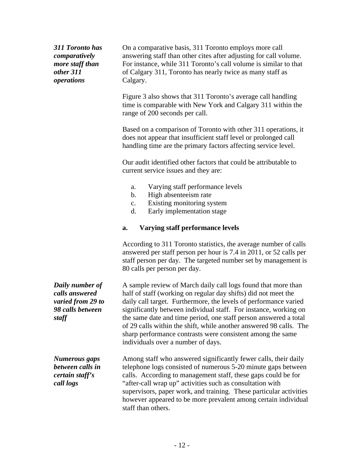| 311 Toronto has<br>comparatively<br>more staff than<br>other 311<br>operations | On a comparative basis, 311 Toronto employs more call<br>answering staff than other cites after adjusting for call volume.<br>For instance, while 311 Toronto's call volume is similar to that<br>of Calgary 311, Toronto has nearly twice as many staff as<br>Calgary.                                                                                                                                                                                                                                             |
|--------------------------------------------------------------------------------|---------------------------------------------------------------------------------------------------------------------------------------------------------------------------------------------------------------------------------------------------------------------------------------------------------------------------------------------------------------------------------------------------------------------------------------------------------------------------------------------------------------------|
|                                                                                | Figure 3 also shows that 311 Toronto's average call handling<br>time is comparable with New York and Calgary 311 within the<br>range of 200 seconds per call.                                                                                                                                                                                                                                                                                                                                                       |
|                                                                                | Based on a comparison of Toronto with other 311 operations, it<br>does not appear that insufficient staff level or prolonged call<br>handling time are the primary factors affecting service level.                                                                                                                                                                                                                                                                                                                 |
|                                                                                | Our audit identified other factors that could be attributable to<br>current service issues and they are:                                                                                                                                                                                                                                                                                                                                                                                                            |
|                                                                                | Varying staff performance levels<br>High absenteeism rate<br>h.<br>Existing monitoring system<br>Early implementation stage<br>d.                                                                                                                                                                                                                                                                                                                                                                                   |
|                                                                                | a. Varying staff performance levels                                                                                                                                                                                                                                                                                                                                                                                                                                                                                 |
| Daily number of<br>calls answered<br>varied from 29 to<br>98 calls between     | According to 311 Toronto statistics, the average number of calls<br>answered per staff person per hour is 7.4 in 2011, or 52 calls per<br>staff person per day. The targeted number set by management is<br>80 calls per person per day.<br>A sample review of March daily call logs found that more than<br>half of staff (working on regular day shifts) did not meet the<br>daily call target. Furthermore, the levels of performance varied<br>significantly between individual staff. For instance, working on |
| staff                                                                          | the same date and time period, one staff person answered a total<br>of 29 calls within the shift, while another answered 98 calls. The<br>sharp performance contrasts were consistent among the same<br>individuals over a number of days.                                                                                                                                                                                                                                                                          |
| <b>Numerous gaps</b><br>between calls in<br>certain staff's<br>call logs       | Among staff who answered significantly fewer calls, their daily<br>telephone logs consisted of numerous 5-20 minute gaps between<br>calls. According to management staff, these gaps could be for<br>"after-call wrap up" activities such as consultation with<br>supervisors, paper work, and training. These particular activities<br>however appeared to be more prevalent among certain individual<br>staff than others.                                                                                        |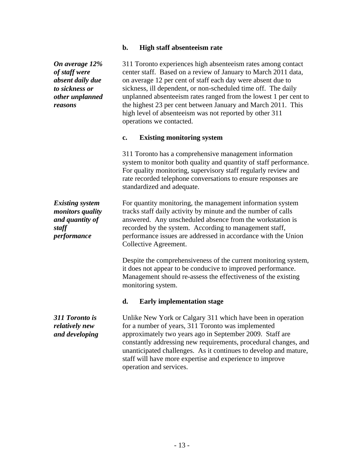#### **b. High staff absenteeism rate**

On anyong 122% and 11 Toronto experiences high chemention rates are none goinals.<br>
On any of the state of the state of the state of the state of the state of the state of the state of the state of the state of the state o *of staff were* center staff. Based on a review of January to March 2011 data, *absent daily due* on average 12 per cent of staff each day were absent due to *to sickness or*  sickness, ill dependent, or non-scheduled time off. The daily *other unplanned*  unplanned absenteeism rates ranged from the lowest 1 per cent to *reasons*  the highest 23 per cent between January and March 2011. This 311 Toronto experiences high absenteeism rates among contact center staff. Based on a review of January to March 2011 data, on average 12 per cent of staff each day were absent due to high level of absenteeism was not reported by other 311 operations we contacted. **c. Existing monitoring system** 311 Toronto has a comprehensive management information system to monitor both quality and quantity of staff performance. For quality monitoring, supervisory staff regularly review and rate recorded telephone conversations to ensure responses are standardized and adequate. *Existing system*  For quantity monitoring, the management information system *monitors quality*  tracks staff daily activity by minute and the number of calls *and quantity of* answered. Any unscheduled absence from the workstation is *staff*  recorded by the system. According to management staff, *performance* performance issues are addressed in accordance with the Union Collective Agreement. Despite the comprehensiveness of the current monitoring system, it does not appear to be conducive to improved performance. Management should re-assess the effectiveness of the existing monitoring system. *311 Toronto is*  Unlike New York or Calgary 311 which have been in operation *relatively new*  for a number of years, 311 Toronto was implemented **and developing** approximately two years ago in September 2009. Staff are **d. Early implementation stage** constantly addressing new requirements, procedural changes, and unanticipated challenges. As it continues to develop and mature, staff will have more expertise and experience to improve

operation and services.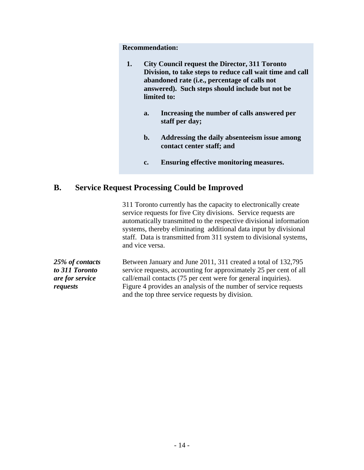| City Council request the Director, 311 Toronto            |
|-----------------------------------------------------------|
| Division, to take steps to reduce call wait time and call |
| abandoned rate (i.e., percentage of calls not             |
| answered). Such steps should include but not be           |
| limited to:                                               |

- **a. Increasing the number of calls answered per staff per day;**
- **b. Addressing the daily absenteeism issue among contact center staff; and**
- **c. Ensuring effective monitoring measures.**

### **B. Service Request Processing Could be Improved**

Recommendation:<br>
1. City Council request the Director, 311 Toronto<br>
2. Division, to take steps to reduce call wait time and call<br>
abundond rate (i.e., percentage of calls not<br>
anyword). Such steps should include but not be 311 Toronto currently has the capacity to electronically create service requests for five City divisions. Service requests are automatically transmitted to the respective divisional information systems, thereby eliminating additional data input by divisional staff. Data is transmitted from 311 system to divisional systems, and vice versa.

*25% of contacts*  Between January and June 2011, 311 created a total of 132,795 *to 311 Toronto*  service requests, accounting for approximately 25 per cent of all *are for service*  call/email contacts (75 per cent were for general inquiries). *requests* Figure 4 provides an analysis of the number of service requests and the top three service requests by division.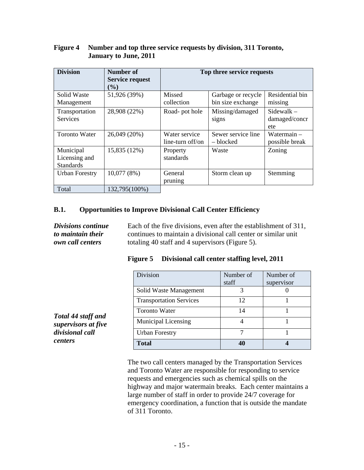### **Figure 4 Number and top three service requests by division, 311 Toronto, January to June, 2011**

| <b>Division</b>       | <b>Number of</b>       |                  | Top three service requests |                 |
|-----------------------|------------------------|------------------|----------------------------|-----------------|
|                       | <b>Service request</b> |                  |                            |                 |
|                       | (%)                    |                  |                            |                 |
| Solid Waste           | 51,926 (39%)           | Missed           | Garbage or recycle         | Residential bin |
| Management            |                        | collection       | bin size exchange          | missing         |
| Transportation        | 28,908 (22%)           | Road-pot hole    | Missing/damaged            | Sidewalk -      |
| Services              |                        |                  | signs                      | damaged/concr   |
|                       |                        |                  |                            | ete             |
| Toronto Water         | 26,049 (20%)           | Water service    | Sewer service line         | Watermain -     |
|                       |                        | line-turn off/on | blocked                    | possible break  |
| Municipal             | 15,835(12%)            | Property         | Waste                      | Zoning          |
| Licensing and         |                        | standards        |                            |                 |
| Standards             |                        |                  |                            |                 |
| <b>Urban Forestry</b> | 10,077(8%)             | General          | Storm clean up             | Stemming        |
|                       |                        | pruning          |                            |                 |
| Total                 | 132,795(100%)          |                  |                            |                 |

#### **B.1. Opportunities to Improve Divisional Call Center Efficiency**

*Divisions continue Divisions continue* Each of the five divisions, even after the establishment of 311,<br> *to maintain their* continues to maintain a divisional call center or similar unit *own call centers* totaling 40 staff and 4 supervisors (Figure 5).

| <b>Figure</b> 5 | Divisional call center staffing level, 2011 |  |
|-----------------|---------------------------------------------|--|
|                 |                                             |  |

|                                           | Division                       | Number of | Number of  |
|-------------------------------------------|--------------------------------|-----------|------------|
|                                           |                                | staff     | supervisor |
|                                           | Solid Waste Management         |           |            |
|                                           | <b>Transportation Services</b> | $\perp$   |            |
|                                           | Toronto Water                  |           |            |
| Total 44 staff and<br>supervisors at five | Municipal Licensing            |           |            |
| divisional call                           | <b>Urban Forestry</b>          |           |            |
| centers                                   | <b>Total</b>                   | 40        |            |

The two call centers managed by the Transportation Services and Toronto Water are responsible for responding to service requests and emergencies such as chemical spills on the highway and major watermain breaks. Each center maintains a large number of staff in order to provide 24/7 coverage for emergency coordination, a function that is outside the mandate of 311 Toronto.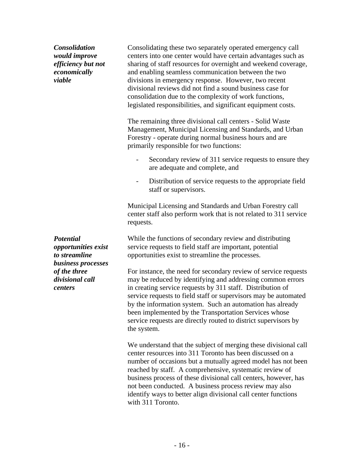*would improve*  centers into one center would have certain advantages such as *efficiency but not*  sharing of staff resources for overnight and weekend coverage, *economically*  and enabling seamless communication between the two *viable* divisions in emergency response. However, two recent Consolidating these two separately operated emergency call divisional reviews did not find a sound business case for consolidation due to the complexity of work functions, legislated responsibilities, and significant equipment costs.

> The remaining three divisional call centers - Solid Waste Management, Municipal Licensing and Standards, and Urban Forestry - operate during normal business hours and are primarily responsible for two functions:

- Secondary review of 311 service requests to ensure they
- are adequate and complete, and<br>- Distribution of service requests to the appropriate field staff or supervisors.

Municipal Licensing and Standards and Urban Forestry call center staff also perform work that is not related to 311 service requests.

**Potential** While the functions of secondary review and distributing *opportunities exist*  service requests to field staff are important, potential *to streamline* 

Consolidation<br>
Consolidation<br>
consists in the one centre would have central advantages such as<br>
constraints and consistent and the constraints of the constraints and vectors of the consense of the consense of the consense *of the three* For instance, the need for secondary review of service requests *divisional call*  may be reduced by identifying and addressing common errors *centers* in creating service requests by 311 staff. Distribution of opportunities exist to streamline the processes.<br>For instance, the need for secondary review of service requests service requests to field staff or supervisors may be automated by the information system. Such an automation has already been implemented by the Transportation Services whose service requests are directly routed to district supervisors by the system.

We understand that the subject of merging these divisional call center resources into 311 Toronto has been discussed on a number of occasions but a mutually agreed model has not been reached by staff. A comprehensive, systematic review of business process of these divisional call centers, however, has not been conducted. A business process review may also identify ways to better align divisional call center functions with 311 Toronto.

*business processes*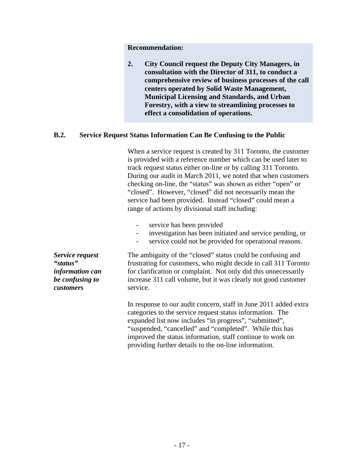**2. City Council request the Deputy City Managers, in consultation with the Director of 311, to conduct a comprehensive review of business processes of the call centers operated by Solid Waste Management, Municipal Licensing and Standards, and Urban Forestry, with a view to streamlining processes to effect a consolidation of operations.**

### **B.2. Service Request Status Information Can Be Confusing to the Public**

Recommendation:<br>
C. City Comed request the Deputy City Managers, in<br>
consultation with the Director of 311, to conduct a<br>
consultation with the Director of 311, to conduct a<br>
consultation with the Director of 311, to condu When a service request is created by 311 Toronto, the customer is provided with a reference number which can be used later to track request status either on-line or by calling 311 Toronto. During our audit in March 2011, we noted that when customers checking on-line, the "status" was shown as either "open" or "closed". However, "closed" did not necessarily mean the service had been provided. Instead "closed" could mean a range of actions by divisional staff including:

- 
- service has been provided<br>- investigation has been initiated and service pending, or<br>- service could not be provided for operational reasons.
- 

*Service request*  The ambiguity of the "closed" status could be confusing and *"status"*  frustrating for customers, who might decide to call 311 Toronto *information can*  for clarification or complaint. Not only did this unnecessarily *be confusing to*  increase 311 call volume, but it was clearly not good customer *customers* service.

In response to our audit concern, staff in June 2011 added extra categories to the service request status information. The expanded list now includes "in progress", "submitted", "suspended, "cancelled" and "completed". While this has improved the status information, staff continue to work on providing further details to the on-line information.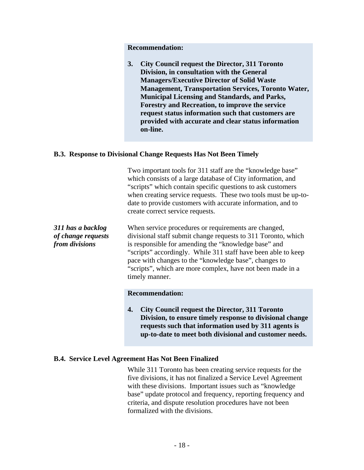#### **B.3. Response to Divisional Change Requests Has Not Been Timely**

|                                                           | <b>Recommendation:</b>                                                                                                                                                                                                                                                                                                                                                                                                                          |
|-----------------------------------------------------------|-------------------------------------------------------------------------------------------------------------------------------------------------------------------------------------------------------------------------------------------------------------------------------------------------------------------------------------------------------------------------------------------------------------------------------------------------|
|                                                           | 3. City Council request the Director, 311 Toronto<br>Division, in consultation with the General<br><b>Managers/Executive Director of Solid Waste</b><br><b>Management, Transportation Services, Toronto Water,</b><br>Municipal Licensing and Standards, and Parks,<br>Forestry and Recreation, to improve the service<br>request status information such that customers are<br>provided with accurate and clear status information<br>on-line. |
|                                                           | <b>B.3. Response to Divisional Change Requests Has Not Been Timely</b>                                                                                                                                                                                                                                                                                                                                                                          |
|                                                           | Two important tools for 311 staff are the "knowledge base"<br>which consists of a large database of City information, and<br>"scripts" which contain specific questions to ask customers<br>when creating service requests. These two tools must be up-to-<br>date to provide customers with accurate information, and to<br>create correct service requests.                                                                                   |
| 311 has a backlog<br>of change requests<br>from divisions | When service procedures or requirements are changed,<br>divisional staff submit change requests to 311 Toronto, which<br>is responsible for amending the "knowledge base" and<br>"scripts" accordingly. While 311 staff have been able to keep<br>pace with changes to the "knowledge base", changes to<br>"scripts", which are more complex, have not been made in a<br>timely manner.                                                         |
|                                                           | <b>Recommendation:</b><br>4. City Council request the Director, 311 Toronto<br>Division, to ensure timely response to divisional change<br>requests such that information used by 311 agents is<br>up-to-date to meet both divisional and customer needs.                                                                                                                                                                                       |
|                                                           | <b>B.4. Service Level Agreement Has Not Been Finalized</b>                                                                                                                                                                                                                                                                                                                                                                                      |
|                                                           | While 311 Toronto has been creating service requests for the<br>five divisions, it has not finalized a Service Level Agreement<br>with these divisions. Important issues such as "knowledge"<br>base" update protocol and frequency, reporting frequency and<br>criteria, and dispute resolution procedures have not been<br>formalized with the divisions.                                                                                     |
|                                                           | $-18-$                                                                                                                                                                                                                                                                                                                                                                                                                                          |

#### **B.4. Service Level Agreement Has Not Been Finalized**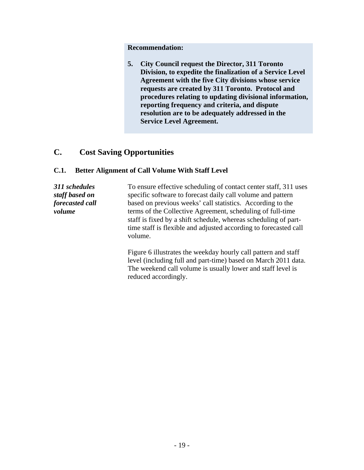Recommendation:<br>
S. City Conneil request the Director, 311 Toronto<br>
Division, to capedite the finalization of a Service Level<br>
Agreement with the five City divisions whose service<br>
equests are created by 311 Toronto. Proto **5. City Council request the Director, 311 Toronto Division, to expedite the finalization of a Service Level Agreement with the five City divisions whose service requests are created by 311 Toronto. Protocol and procedures relating to updating divisional information, reporting frequency and criteria, and dispute resolution are to be adequately addressed in the Service Level Agreement.**

### **C. Cost Saving Opportunities**

### **C.1. Better Alignment of Call Volume With Staff Level**

*311 schedules*  To ensure effective scheduling of contact center staff, 311 uses *staff based on*  specific software to forecast daily call volume and pattern *forecasted call*  based on previous weeks' call statistics. According to the *volume* terms of the Collective Agreement, scheduling of full-time staff is fixed by a shift schedule, whereas scheduling of parttime staff is flexible and adjusted according to forecasted call volume. The contract of the contract of the contract of the contract of the contract of the contract of the contract of the contract of the contract of the contract of the contract of the contract of the contract of the co

> Figure 6 illustrates the weekday hourly call pattern and staff level (including full and part-time) based on March 2011 data. The weekend call volume is usually lower and staff level is reduced accordingly.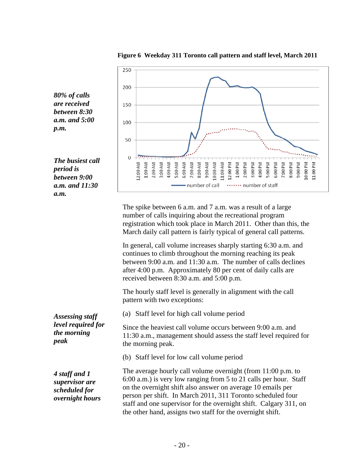

**Figure 6 Weekday 311 Toronto call pattern and staff level, March 2011**

The spike between 6 a.m. and 7 a.m. was a result of a large number of calls inquiring about the recreational program registration which took place in March 2011. Other than this, the March daily call pattern is fairly typical of general call patterns.

In general, call volume increases sharply starting 6:30 a.m. and continues to climb throughout the morning reaching its peak between 9:00 a.m. and 11:30 a.m. The number of calls declines after 4:00 p.m. Approximately 80 per cent of daily calls are received between 8:30 a.m. and 5:00 p.m.

The hourly staff level is generally in alignment with the call pattern with two exceptions:

*Assessing staff*  (a) Staff level for high call volume period

*level required for*  Since the heaviest call volume occurs between 9:00 a.m. and *the morning* 11:30 a.m., management should assess the staff level required for peak the morning neak the morning of the second the morning of the second term of the second term of the second term of the second term of the second term of the second term of the second term of the second term of the sec the morning peak.

(b) Staff level for low call volume period

*4 staff and 1* The average hourly call volume overnight (from 11:00 p.m. to *supervisor are*  6:00 a.m.) is very low ranging from 5 to 21 calls per hour. Staff *scheduled for* on the overnight shift also answer on average 10 emails per scheduled for *overnight hours* person per shift. In March 2011, 311 Toronto scheduled four staff and one supervisor for the overnight shift. Calgary 311, on the other hand, assigns two staff for the overnight shift.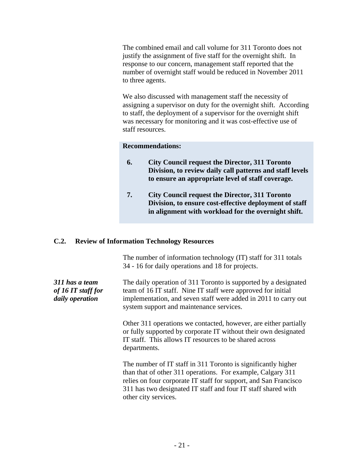The combined email and call volume for 311 Toronto does not justify the assignment of five staff for the overnight shift. In response to our concern, management staff reported that the number of overnight staff would be reduced in November 2011 to three agents.

We also discussed with management staff the necessity of assigning a supervisor on duty for the overnight shift. According to staff, the deployment of a supervisor for the overnight shift was necessary for monitoring and it was cost-effective use of staff resources.

#### **Recommendations:**

- **6. City Council request the Director, 311 Toronto Division, to review daily call patterns and staff levels to ensure an appropriate level of staff coverage.**
- **7. City Council request the Director, 311 Toronto Division, to ensure cost-effective deployment of staff in alignment with workload for the overnight shift.**

#### **C.2. Review of Information Technology Resources**

The number of information technology (IT) staff for 311 totals 34 - 16 for daily operations and 18 for projects.

| 311 has a team<br>of 16 IT staff for<br>daily operation | The daily operation of 311 Toronto is supported by a designated<br>team of 16 IT staff. Nine IT staff were approved for initial<br>implementation, and seven staff were added in 2011 to carry out |  |  |
|---------------------------------------------------------|----------------------------------------------------------------------------------------------------------------------------------------------------------------------------------------------------|--|--|
|                                                         | system support and maintenance services.                                                                                                                                                           |  |  |
|                                                         | Other 311 operations we contacted, however, are either partially<br>or fully supported by corporate IT without their own designated<br>IT staff. This allows IT resources to be shared across      |  |  |
|                                                         | departments.<br>The number of IT staff in 311 Toronto is significantly higher                                                                                                                      |  |  |
|                                                         | than that of other 311 operations. For example, Calgary 311<br>relies on four corporate IT staff for support, and San Francisco                                                                    |  |  |
|                                                         | 311 has two designated IT staff and four IT staff shared with                                                                                                                                      |  |  |

other city services.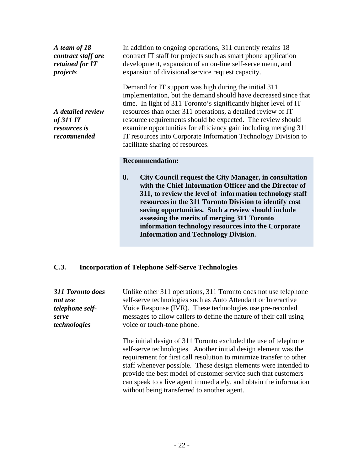| A team of 18<br>contract staff are<br>retained for IT<br>projects           | In addition to ongoing operations, 311 currently retains 18<br>contract IT staff for projects such as smart phone application<br>development, expansion of an on-line self-serve menu, and<br>expansion of divisional service request capacity.                                                                                                                                                                                                                                                      |
|-----------------------------------------------------------------------------|------------------------------------------------------------------------------------------------------------------------------------------------------------------------------------------------------------------------------------------------------------------------------------------------------------------------------------------------------------------------------------------------------------------------------------------------------------------------------------------------------|
| A detailed review<br><i>of 311 IT</i><br><i>resources is</i><br>recommended | Demand for IT support was high during the initial 311<br>implementation, but the demand should have decreased since that<br>time. In light of 311 Toronto's significantly higher level of IT<br>resources than other 311 operations, a detailed review of IT<br>resource requirements should be expected. The review should<br>examine opportunities for efficiency gain including merging 311<br>IT resources into Corporate Information Technology Division to<br>facilitate sharing of resources. |
|                                                                             | <b>Recommendation:</b>                                                                                                                                                                                                                                                                                                                                                                                                                                                                               |
|                                                                             | <b>City Council request the City Manager, in consultation</b><br>8.<br>with the Chief Information Officer and the Director of<br>311, to review the level of information technology staff<br>resources in the 311 Toronto Division to identify cost<br>saving opportunities. Such a review should include<br>assessing the merits of merging 311 Toronto<br>information technology resources into the Corporate<br><b>Information and Technology Division.</b>                                       |
| C.3.                                                                        | <b>Incorporation of Telephone Self-Serve Technologies</b>                                                                                                                                                                                                                                                                                                                                                                                                                                            |
| 311 Toronto does<br>not use<br>telephone self-<br>serve<br>technologies     | Unlike other 311 operations, 311 Toronto does not use telephone<br>self-serve technologies such as Auto Attendant or Interactive<br>Voice Response (IVR). These technologies use pre-recorded<br>messages to allow callers to define the nature of their call using<br>voice or touch-tone phone.                                                                                                                                                                                                    |
|                                                                             | The initial design of 311 Toronto excluded the use of telephone<br>self-serve technologies. Another initial design element was the<br>requirement for first call resolution to minimize transfer to other<br>staff whenever possible. These design elements were intended to<br>provide the best model of customer service such that customers<br>can speak to a live agent immediately, and obtain the information<br>without being transferred to another agent.                                   |
|                                                                             |                                                                                                                                                                                                                                                                                                                                                                                                                                                                                                      |
|                                                                             |                                                                                                                                                                                                                                                                                                                                                                                                                                                                                                      |
|                                                                             | $-22-$                                                                                                                                                                                                                                                                                                                                                                                                                                                                                               |

### **C.3. Incorporation of Telephone Self-Serve Technologies**

| 311 Toronto does | Unlike other 311 operations, 311 Toronto does not use telephone                                                                                                                                                                                                                                                                                                                                                                                                    |
|------------------|--------------------------------------------------------------------------------------------------------------------------------------------------------------------------------------------------------------------------------------------------------------------------------------------------------------------------------------------------------------------------------------------------------------------------------------------------------------------|
| not use          | self-serve technologies such as Auto Attendant or Interactive                                                                                                                                                                                                                                                                                                                                                                                                      |
| telephone self-  | Voice Response (IVR). These technologies use pre-recorded                                                                                                                                                                                                                                                                                                                                                                                                          |
| serve            | messages to allow callers to define the nature of their call using                                                                                                                                                                                                                                                                                                                                                                                                 |
| technologies     | voice or touch-tone phone.                                                                                                                                                                                                                                                                                                                                                                                                                                         |
|                  | The initial design of 311 Toronto excluded the use of telephone<br>self-serve technologies. Another initial design element was the<br>requirement for first call resolution to minimize transfer to other<br>staff whenever possible. These design elements were intended to<br>provide the best model of customer service such that customers<br>can speak to a live agent immediately, and obtain the information<br>without being transferred to another agent. |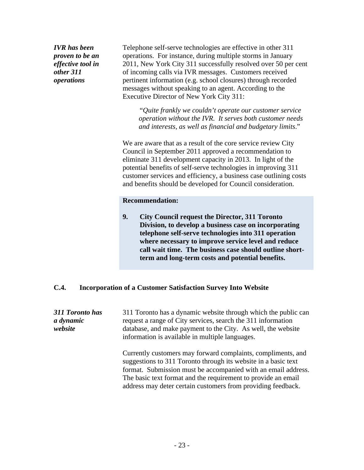*IVR has been*  Telephone self-serve technologies are effective in other 311 *proven to be an*  operations. For instance, during multiple storms in January *effective tool in*  2011, New York City 311 successfully resolved over 50 per cent *other 311*  of incoming calls via IVR messages. Customers received **operations** experiment information (e.g. school closures) through recorded messages without speaking to an agent. According to the Executive Director of New York City 311:

> "*Quite frankly we couldn't operate our customer service operation without the IVR. It serves both customer needs and interests, as well as financial and budgetary limits*."

We are aware that as a result of the core service review City Council in September 2011 approved a recommendation to eliminate 311 development capacity in 2013. In light of the potential benefits of self-serve technologies in improving 311 customer services and efficiency, a business case outlining costs and benefits should be developed for Council consideration.

#### **Recommendation:**

**9. City Council request the Director, 311 Toronto Division, to develop a business case on incorporating telephone self-serve technologies into 311 operation where necessary to improve service level and reduce call wait time. The business case should outline shortterm and long-term costs and potential benefits.**

#### **C.4. Incorporation of a Customer Satisfaction Survey Into Website**

*311 Toronto has*  311 Toronto has a dynamic website through which the public can *a dynamic*  request a range of City services, search the 311 information *website* database, and make payment to the City. As well, the website information is available in multiple languages.

Currently customers may forward complaints, compliments, and suggestions to 311 Toronto through its website in a basic text format. Submission must be accompanied with an email address. The basic text format and the requirement to provide an email address may deter certain customers from providing feedback.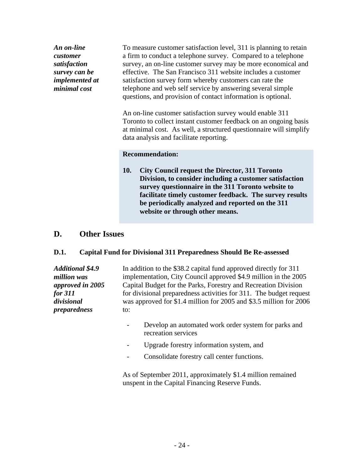### **Recommendation:**

### **D. Other Issues**

#### **D.1. Capital Fund for Divisional 311 Preparedness Should Be Re-assessed**

| An on-line<br>customer<br>satisfaction<br>survey can be<br>implemented at<br>minimal cost                         | To measure customer satisfaction level, 311 is planning to retain<br>a firm to conduct a telephone survey. Compared to a telephone<br>survey, an on-line customer survey may be more economical and<br>effective. The San Francisco 311 website includes a customer<br>satisfaction survey form whereby customers can rate the<br>telephone and web self service by answering several simple<br>questions, and provision of contact information is optional.<br>An on-line customer satisfaction survey would enable 311<br>Toronto to collect instant customer feedback on an ongoing basis<br>at minimal cost. As well, a structured questionnaire will simplify<br>data analysis and facilitate reporting. |
|-------------------------------------------------------------------------------------------------------------------|---------------------------------------------------------------------------------------------------------------------------------------------------------------------------------------------------------------------------------------------------------------------------------------------------------------------------------------------------------------------------------------------------------------------------------------------------------------------------------------------------------------------------------------------------------------------------------------------------------------------------------------------------------------------------------------------------------------|
|                                                                                                                   | <b>Recommendation:</b><br><b>City Council request the Director, 311 Toronto</b><br><b>10.</b><br>Division, to consider including a customer satisfaction<br>survey questionnaire in the 311 Toronto website to<br>facilitate timely customer feedback. The survey results<br>be periodically analyzed and reported on the 311<br>website or through other means.                                                                                                                                                                                                                                                                                                                                              |
| D.<br><b>Other Issues</b>                                                                                         |                                                                                                                                                                                                                                                                                                                                                                                                                                                                                                                                                                                                                                                                                                               |
| D.1.                                                                                                              | <b>Capital Fund for Divisional 311 Preparedness Should Be Re-assessed</b>                                                                                                                                                                                                                                                                                                                                                                                                                                                                                                                                                                                                                                     |
| <b>Additional \$4.9</b><br>million was<br>approved in 2005<br><i>for 311</i><br>divisional<br><i>preparedness</i> | In addition to the \$38.2 capital fund approved directly for 311<br>implementation, City Council approved \$4.9 million in the 2005<br>Capital Budget for the Parks, Forestry and Recreation Division<br>for divisional preparedness activities for 311. The budget request<br>was approved for \$1.4 million for 2005 and \$3.5 million for 2006<br>to:                                                                                                                                                                                                                                                                                                                                                      |
|                                                                                                                   | Develop an automated work order system for parks and<br>recreation services                                                                                                                                                                                                                                                                                                                                                                                                                                                                                                                                                                                                                                   |
|                                                                                                                   | Upgrade forestry information system, and                                                                                                                                                                                                                                                                                                                                                                                                                                                                                                                                                                                                                                                                      |
|                                                                                                                   | Consolidate forestry call center functions.                                                                                                                                                                                                                                                                                                                                                                                                                                                                                                                                                                                                                                                                   |
|                                                                                                                   | As of September 2011, approximately \$1.4 million remained<br>unspent in the Capital Financing Reserve Funds.                                                                                                                                                                                                                                                                                                                                                                                                                                                                                                                                                                                                 |
|                                                                                                                   | $-24-$                                                                                                                                                                                                                                                                                                                                                                                                                                                                                                                                                                                                                                                                                                        |

- 
- Upgrade forestry information system, and<br>- Consolidate forestry call center functions.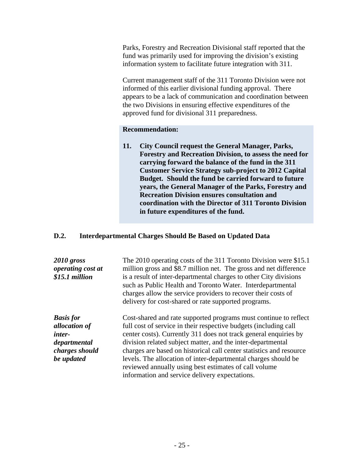Parks, Forestry and Recreation Divisional staff reported that the fund was primarily used for improving the division's existing information system to facilitate future integration with 311.

Current management staff of the 311 Toronto Division were not informed of this earlier divisional funding approval. There appears to be a lack of communication and coordination between the two Divisions in ensuring effective expenditures of the approved fund for divisional 311 preparedness.

#### **Recommendation:**

**11. City Council request the General Manager, Parks, Forestry and Recreation Division, to assess the need for carrying forward the balance of the fund in the 311 Customer Service Strategy sub-project to 2012 Capital Budget. Should the fund be carried forward to future years, the General Manager of the Parks, Forestry and Recreation Division ensures consultation and coordination with the Director of 311 Toronto Division in future expenditures of the fund.**

### **D.2. Interdepartmental Charges Should Be Based on Updated Data**

| 2010 gross<br><i>operating cost at</i><br>\$15.1 million | The 2010 operating costs of the 311 Toronto Division were \$15.1<br>million gross and \$8.7 million net. The gross and net difference<br>is a result of inter-departmental charges to other City divisions<br>such as Public Health and Toronto Water. Interdepartmental<br>charges allow the service providers to recover their costs of<br>delivery for cost-shared or rate supported programs. |
|----------------------------------------------------------|---------------------------------------------------------------------------------------------------------------------------------------------------------------------------------------------------------------------------------------------------------------------------------------------------------------------------------------------------------------------------------------------------|
| <b>Basis for</b>                                         | Cost-shared and rate supported programs must continue to reflect                                                                                                                                                                                                                                                                                                                                  |
| allocation of                                            | full cost of service in their respective budgets (including call                                                                                                                                                                                                                                                                                                                                  |
| inter-                                                   | center costs). Currently 311 does not track general enquiries by                                                                                                                                                                                                                                                                                                                                  |
| departmental                                             | division related subject matter, and the inter-departmental                                                                                                                                                                                                                                                                                                                                       |
| charges should                                           | charges are based on historical call center statistics and resource                                                                                                                                                                                                                                                                                                                               |
| be updated                                               | levels. The allocation of inter-departmental charges should be<br>reviewed annually using best estimates of call volume                                                                                                                                                                                                                                                                           |
|                                                          | information and service delivery expectations.                                                                                                                                                                                                                                                                                                                                                    |